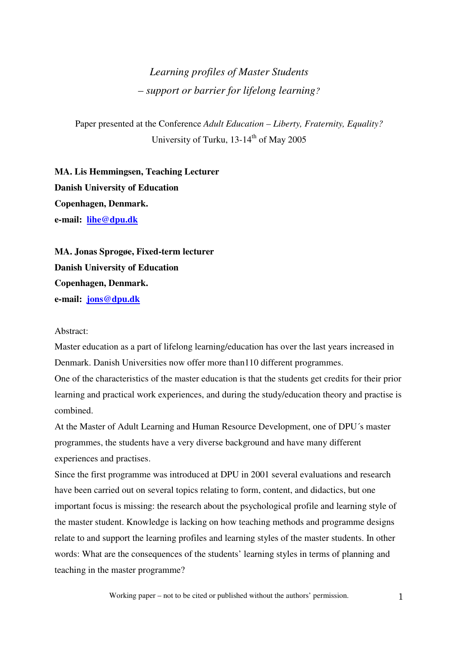# *Learning profiles of Master Students – support or barrier for lifelong learning?*

Paper presented at the Conference *Adult Education – Liberty, Fraternity, Equality?*  University of Turku,  $13-14^{\text{th}}$  of May 2005

**MA. Lis Hemmingsen, Teaching Lecturer Danish University of Education Copenhagen, Denmark. e-mail: lihe@dpu.dk**

**MA. Jonas Sprogøe, Fixed-term lecturer Danish University of Education Copenhagen, Denmark. e-mail: jons@dpu.dk**

#### Abstract:

Master education as a part of lifelong learning/education has over the last years increased in Denmark. Danish Universities now offer more than110 different programmes.

One of the characteristics of the master education is that the students get credits for their prior learning and practical work experiences, and during the study/education theory and practise is combined.

At the Master of Adult Learning and Human Resource Development, one of DPU´s master programmes, the students have a very diverse background and have many different experiences and practises.

Since the first programme was introduced at DPU in 2001 several evaluations and research have been carried out on several topics relating to form, content, and didactics, but one important focus is missing: the research about the psychological profile and learning style of the master student. Knowledge is lacking on how teaching methods and programme designs relate to and support the learning profiles and learning styles of the master students. In other words: What are the consequences of the students' learning styles in terms of planning and teaching in the master programme?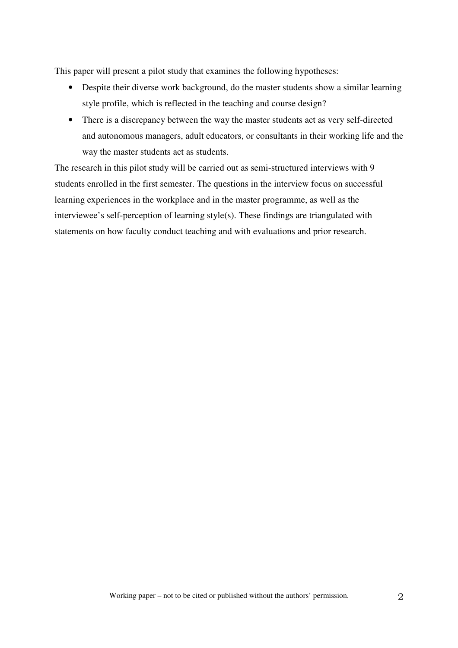This paper will present a pilot study that examines the following hypotheses:

- Despite their diverse work background, do the master students show a similar learning style profile, which is reflected in the teaching and course design?
- There is a discrepancy between the way the master students act as very self-directed and autonomous managers, adult educators, or consultants in their working life and the way the master students act as students.

The research in this pilot study will be carried out as semi-structured interviews with 9 students enrolled in the first semester. The questions in the interview focus on successful learning experiences in the workplace and in the master programme, as well as the interviewee's self-perception of learning style(s). These findings are triangulated with statements on how faculty conduct teaching and with evaluations and prior research.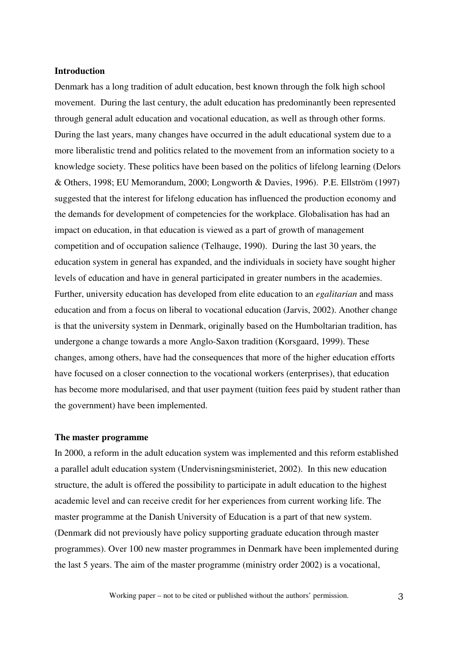#### **Introduction**

Denmark has a long tradition of adult education, best known through the folk high school movement. During the last century, the adult education has predominantly been represented through general adult education and vocational education, as well as through other forms. During the last years, many changes have occurred in the adult educational system due to a more liberalistic trend and politics related to the movement from an information society to a knowledge society. These politics have been based on the politics of lifelong learning (Delors & Others, 1998; EU Memorandum, 2000; Longworth & Davies, 1996). P.E. Ellström (1997) suggested that the interest for lifelong education has influenced the production economy and the demands for development of competencies for the workplace. Globalisation has had an impact on education, in that education is viewed as a part of growth of management competition and of occupation salience (Telhauge, 1990). During the last 30 years, the education system in general has expanded, and the individuals in society have sought higher levels of education and have in general participated in greater numbers in the academies. Further, university education has developed from elite education to an *egalitarian* and mass education and from a focus on liberal to vocational education (Jarvis, 2002). Another change is that the university system in Denmark, originally based on the Humboltarian tradition, has undergone a change towards a more Anglo-Saxon tradition (Korsgaard, 1999). These changes, among others, have had the consequences that more of the higher education efforts have focused on a closer connection to the vocational workers (enterprises), that education has become more modularised, and that user payment (tuition fees paid by student rather than the government) have been implemented.

#### **The master programme**

In 2000, a reform in the adult education system was implemented and this reform established a parallel adult education system (Undervisningsministeriet, 2002). In this new education structure, the adult is offered the possibility to participate in adult education to the highest academic level and can receive credit for her experiences from current working life. The master programme at the Danish University of Education is a part of that new system. (Denmark did not previously have policy supporting graduate education through master programmes). Over 100 new master programmes in Denmark have been implemented during the last 5 years. The aim of the master programme (ministry order 2002) is a vocational,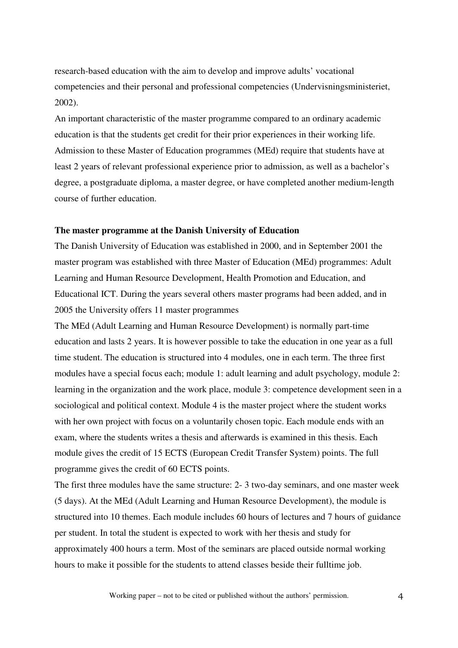research-based education with the aim to develop and improve adults' vocational competencies and their personal and professional competencies (Undervisningsministeriet, 2002).

An important characteristic of the master programme compared to an ordinary academic education is that the students get credit for their prior experiences in their working life. Admission to these Master of Education programmes (MEd) require that students have at least 2 years of relevant professional experience prior to admission, as well as a bachelor's degree, a postgraduate diploma, a master degree, or have completed another medium-length course of further education.

#### **The master programme at the Danish University of Education**

The Danish University of Education was established in 2000, and in September 2001 the master program was established with three Master of Education (MEd) programmes: Adult Learning and Human Resource Development, Health Promotion and Education, and Educational ICT. During the years several others master programs had been added, and in 2005 the University offers 11 master programmes

The MEd (Adult Learning and Human Resource Development) is normally part-time education and lasts 2 years. It is however possible to take the education in one year as a full time student. The education is structured into 4 modules, one in each term. The three first modules have a special focus each; module 1: adult learning and adult psychology, module 2: learning in the organization and the work place, module 3: competence development seen in a sociological and political context. Module 4 is the master project where the student works with her own project with focus on a voluntarily chosen topic. Each module ends with an exam, where the students writes a thesis and afterwards is examined in this thesis. Each module gives the credit of 15 ECTS (European Credit Transfer System) points. The full programme gives the credit of 60 ECTS points.

The first three modules have the same structure: 2- 3 two-day seminars, and one master week (5 days). At the MEd (Adult Learning and Human Resource Development), the module is structured into 10 themes. Each module includes 60 hours of lectures and 7 hours of guidance per student. In total the student is expected to work with her thesis and study for approximately 400 hours a term. Most of the seminars are placed outside normal working hours to make it possible for the students to attend classes beside their fulltime job.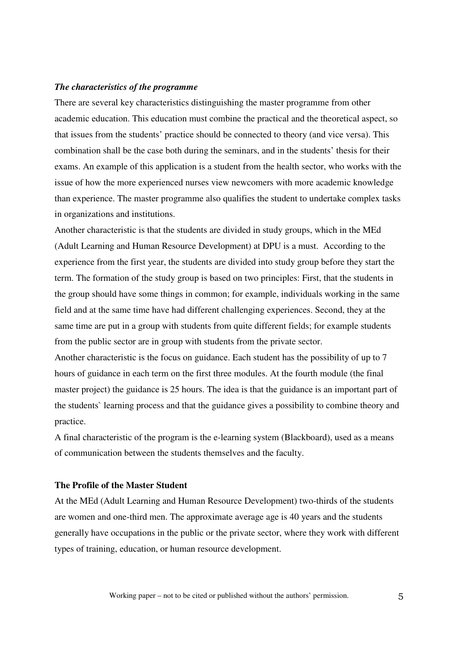#### *The characteristics of the programme*

There are several key characteristics distinguishing the master programme from other academic education. This education must combine the practical and the theoretical aspect, so that issues from the students' practice should be connected to theory (and vice versa). This combination shall be the case both during the seminars, and in the students' thesis for their exams. An example of this application is a student from the health sector, who works with the issue of how the more experienced nurses view newcomers with more academic knowledge than experience. The master programme also qualifies the student to undertake complex tasks in organizations and institutions.

Another characteristic is that the students are divided in study groups, which in the MEd (Adult Learning and Human Resource Development) at DPU is a must. According to the experience from the first year, the students are divided into study group before they start the term. The formation of the study group is based on two principles: First, that the students in the group should have some things in common; for example, individuals working in the same field and at the same time have had different challenging experiences. Second, they at the same time are put in a group with students from quite different fields; for example students from the public sector are in group with students from the private sector.

Another characteristic is the focus on guidance. Each student has the possibility of up to 7 hours of guidance in each term on the first three modules. At the fourth module (the final master project) the guidance is 25 hours. The idea is that the guidance is an important part of the students` learning process and that the guidance gives a possibility to combine theory and practice.

A final characteristic of the program is the e-learning system (Blackboard), used as a means of communication between the students themselves and the faculty.

### **The Profile of the Master Student**

At the MEd (Adult Learning and Human Resource Development) two-thirds of the students are women and one-third men. The approximate average age is 40 years and the students generally have occupations in the public or the private sector, where they work with different types of training, education, or human resource development.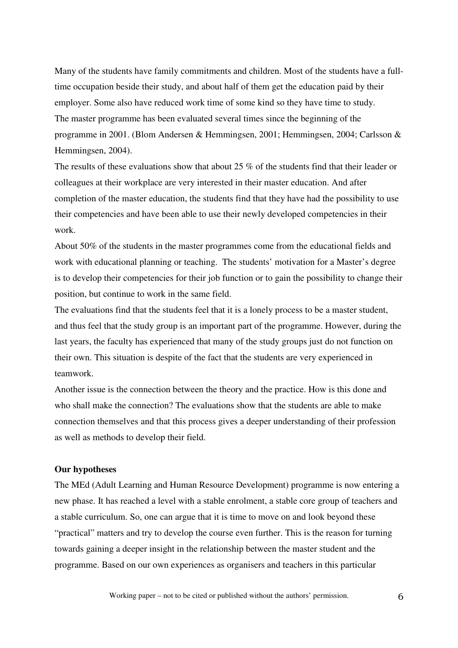Many of the students have family commitments and children. Most of the students have a fulltime occupation beside their study, and about half of them get the education paid by their employer. Some also have reduced work time of some kind so they have time to study. The master programme has been evaluated several times since the beginning of the programme in 2001. (Blom Andersen & Hemmingsen, 2001; Hemmingsen, 2004; Carlsson & Hemmingsen, 2004).

The results of these evaluations show that about 25 % of the students find that their leader or colleagues at their workplace are very interested in their master education. And after completion of the master education, the students find that they have had the possibility to use their competencies and have been able to use their newly developed competencies in their work.

About 50% of the students in the master programmes come from the educational fields and work with educational planning or teaching. The students' motivation for a Master's degree is to develop their competencies for their job function or to gain the possibility to change their position, but continue to work in the same field.

The evaluations find that the students feel that it is a lonely process to be a master student, and thus feel that the study group is an important part of the programme. However, during the last years, the faculty has experienced that many of the study groups just do not function on their own. This situation is despite of the fact that the students are very experienced in teamwork.

Another issue is the connection between the theory and the practice. How is this done and who shall make the connection? The evaluations show that the students are able to make connection themselves and that this process gives a deeper understanding of their profession as well as methods to develop their field.

#### **Our hypotheses**

The MEd (Adult Learning and Human Resource Development) programme is now entering a new phase. It has reached a level with a stable enrolment, a stable core group of teachers and a stable curriculum. So, one can argue that it is time to move on and look beyond these "practical" matters and try to develop the course even further. This is the reason for turning towards gaining a deeper insight in the relationship between the master student and the programme. Based on our own experiences as organisers and teachers in this particular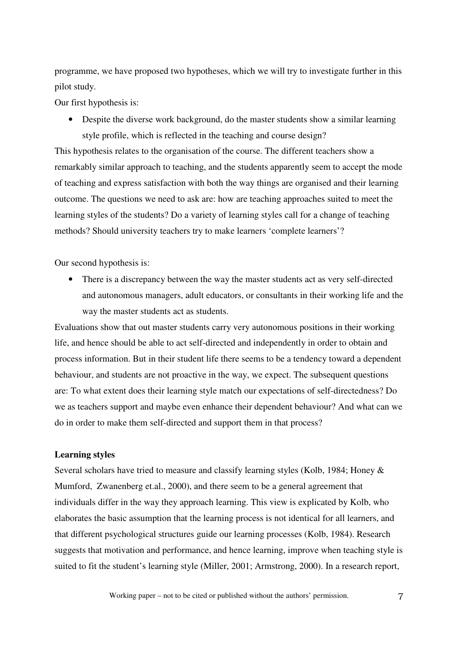programme, we have proposed two hypotheses, which we will try to investigate further in this pilot study.

Our first hypothesis is:

• Despite the diverse work background, do the master students show a similar learning style profile, which is reflected in the teaching and course design?

This hypothesis relates to the organisation of the course. The different teachers show a remarkably similar approach to teaching, and the students apparently seem to accept the mode of teaching and express satisfaction with both the way things are organised and their learning outcome. The questions we need to ask are: how are teaching approaches suited to meet the learning styles of the students? Do a variety of learning styles call for a change of teaching methods? Should university teachers try to make learners 'complete learners'?

Our second hypothesis is:

• There is a discrepancy between the way the master students act as very self-directed and autonomous managers, adult educators, or consultants in their working life and the way the master students act as students.

Evaluations show that out master students carry very autonomous positions in their working life, and hence should be able to act self-directed and independently in order to obtain and process information. But in their student life there seems to be a tendency toward a dependent behaviour, and students are not proactive in the way, we expect. The subsequent questions are: To what extent does their learning style match our expectations of self-directedness? Do we as teachers support and maybe even enhance their dependent behaviour? And what can we do in order to make them self-directed and support them in that process?

## **Learning styles**

Several scholars have tried to measure and classify learning styles (Kolb, 1984; Honey & Mumford, Zwanenberg et.al., 2000), and there seem to be a general agreement that individuals differ in the way they approach learning. This view is explicated by Kolb, who elaborates the basic assumption that the learning process is not identical for all learners, and that different psychological structures guide our learning processes (Kolb, 1984). Research suggests that motivation and performance, and hence learning, improve when teaching style is suited to fit the student's learning style (Miller, 2001; Armstrong, 2000). In a research report,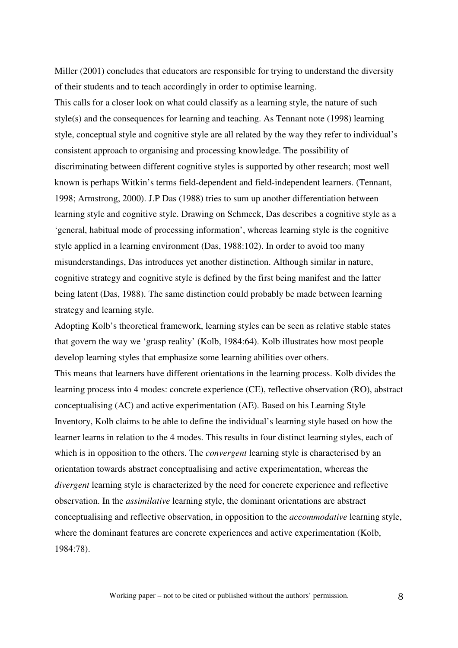Miller (2001) concludes that educators are responsible for trying to understand the diversity of their students and to teach accordingly in order to optimise learning.

This calls for a closer look on what could classify as a learning style, the nature of such style(s) and the consequences for learning and teaching. As Tennant note (1998) learning style, conceptual style and cognitive style are all related by the way they refer to individual's consistent approach to organising and processing knowledge. The possibility of discriminating between different cognitive styles is supported by other research; most well known is perhaps Witkin's terms field-dependent and field-independent learners. (Tennant, 1998; Armstrong, 2000). J.P Das (1988) tries to sum up another differentiation between learning style and cognitive style. Drawing on Schmeck, Das describes a cognitive style as a 'general, habitual mode of processing information', whereas learning style is the cognitive style applied in a learning environment (Das, 1988:102). In order to avoid too many misunderstandings, Das introduces yet another distinction. Although similar in nature, cognitive strategy and cognitive style is defined by the first being manifest and the latter being latent (Das, 1988). The same distinction could probably be made between learning strategy and learning style.

Adopting Kolb's theoretical framework, learning styles can be seen as relative stable states that govern the way we 'grasp reality' (Kolb, 1984:64). Kolb illustrates how most people develop learning styles that emphasize some learning abilities over others.

This means that learners have different orientations in the learning process. Kolb divides the learning process into 4 modes: concrete experience (CE), reflective observation (RO), abstract conceptualising (AC) and active experimentation (AE). Based on his Learning Style Inventory, Kolb claims to be able to define the individual's learning style based on how the learner learns in relation to the 4 modes. This results in four distinct learning styles, each of which is in opposition to the others. The *convergent* learning style is characterised by an orientation towards abstract conceptualising and active experimentation, whereas the *divergent* learning style is characterized by the need for concrete experience and reflective observation. In the *assimilative* learning style, the dominant orientations are abstract conceptualising and reflective observation, in opposition to the *accommodative* learning style, where the dominant features are concrete experiences and active experimentation (Kolb, 1984:78).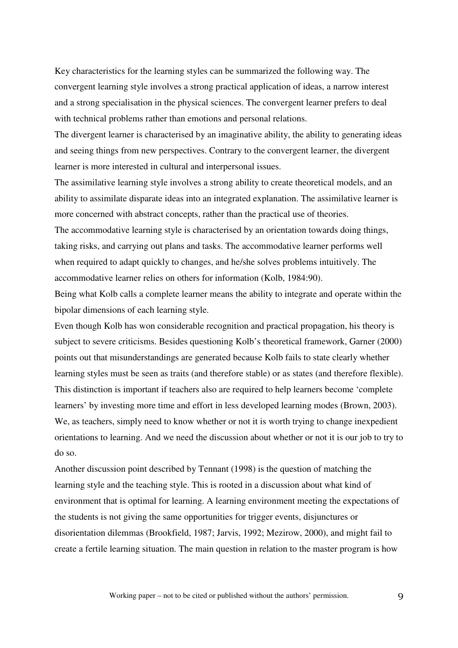Key characteristics for the learning styles can be summarized the following way. The convergent learning style involves a strong practical application of ideas, a narrow interest and a strong specialisation in the physical sciences. The convergent learner prefers to deal with technical problems rather than emotions and personal relations.

The divergent learner is characterised by an imaginative ability, the ability to generating ideas and seeing things from new perspectives. Contrary to the convergent learner, the divergent learner is more interested in cultural and interpersonal issues.

The assimilative learning style involves a strong ability to create theoretical models, and an ability to assimilate disparate ideas into an integrated explanation. The assimilative learner is more concerned with abstract concepts, rather than the practical use of theories. The accommodative learning style is characterised by an orientation towards doing things,

taking risks, and carrying out plans and tasks. The accommodative learner performs well when required to adapt quickly to changes, and he/she solves problems intuitively. The accommodative learner relies on others for information (Kolb, 1984:90).

Being what Kolb calls a complete learner means the ability to integrate and operate within the bipolar dimensions of each learning style.

Even though Kolb has won considerable recognition and practical propagation, his theory is subject to severe criticisms. Besides questioning Kolb's theoretical framework, Garner (2000) points out that misunderstandings are generated because Kolb fails to state clearly whether learning styles must be seen as traits (and therefore stable) or as states (and therefore flexible). This distinction is important if teachers also are required to help learners become 'complete learners' by investing more time and effort in less developed learning modes (Brown, 2003). We, as teachers, simply need to know whether or not it is worth trying to change inexpedient orientations to learning. And we need the discussion about whether or not it is our job to try to do so.

Another discussion point described by Tennant (1998) is the question of matching the learning style and the teaching style. This is rooted in a discussion about what kind of environment that is optimal for learning. A learning environment meeting the expectations of the students is not giving the same opportunities for trigger events, disjunctures or disorientation dilemmas (Brookfield, 1987; Jarvis, 1992; Mezirow, 2000), and might fail to create a fertile learning situation. The main question in relation to the master program is how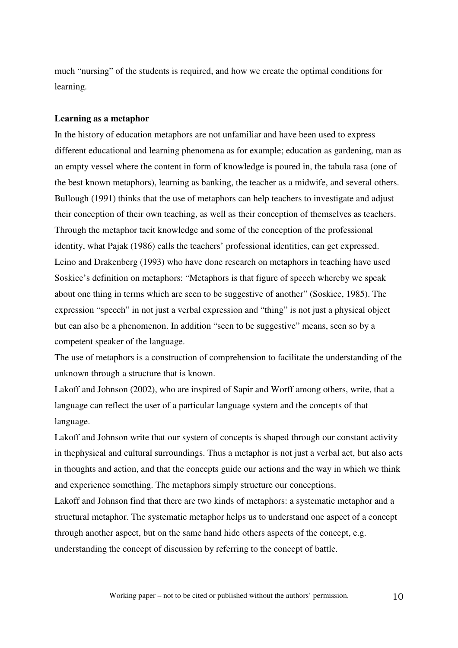much "nursing" of the students is required, and how we create the optimal conditions for learning.

#### **Learning as a metaphor**

In the history of education metaphors are not unfamiliar and have been used to express different educational and learning phenomena as for example; education as gardening, man as an empty vessel where the content in form of knowledge is poured in, the tabula rasa (one of the best known metaphors), learning as banking, the teacher as a midwife, and several others. Bullough (1991) thinks that the use of metaphors can help teachers to investigate and adjust their conception of their own teaching, as well as their conception of themselves as teachers. Through the metaphor tacit knowledge and some of the conception of the professional identity, what Pajak (1986) calls the teachers' professional identities, can get expressed. Leino and Drakenberg (1993) who have done research on metaphors in teaching have used Soskice's definition on metaphors: "Metaphors is that figure of speech whereby we speak about one thing in terms which are seen to be suggestive of another" (Soskice, 1985). The expression "speech" in not just a verbal expression and "thing" is not just a physical object but can also be a phenomenon. In addition "seen to be suggestive" means, seen so by a competent speaker of the language.

The use of metaphors is a construction of comprehension to facilitate the understanding of the unknown through a structure that is known.

Lakoff and Johnson (2002), who are inspired of Sapir and Worff among others, write, that a language can reflect the user of a particular language system and the concepts of that language.

Lakoff and Johnson write that our system of concepts is shaped through our constant activity in thephysical and cultural surroundings. Thus a metaphor is not just a verbal act, but also acts in thoughts and action, and that the concepts guide our actions and the way in which we think and experience something. The metaphors simply structure our conceptions.

Lakoff and Johnson find that there are two kinds of metaphors: a systematic metaphor and a structural metaphor. The systematic metaphor helps us to understand one aspect of a concept through another aspect, but on the same hand hide others aspects of the concept, e.g. understanding the concept of discussion by referring to the concept of battle.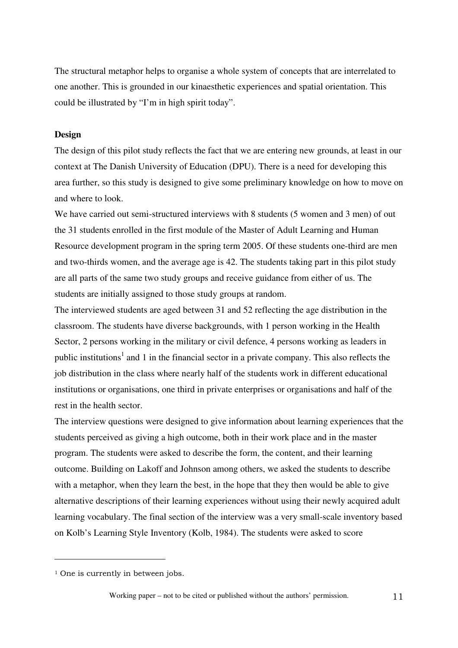The structural metaphor helps to organise a whole system of concepts that are interrelated to one another. This is grounded in our kinaesthetic experiences and spatial orientation. This could be illustrated by "I'm in high spirit today".

#### **Design**

The design of this pilot study reflects the fact that we are entering new grounds, at least in our context at The Danish University of Education (DPU). There is a need for developing this area further, so this study is designed to give some preliminary knowledge on how to move on and where to look.

We have carried out semi-structured interviews with 8 students (5 women and 3 men) of out the 31 students enrolled in the first module of the Master of Adult Learning and Human Resource development program in the spring term 2005. Of these students one-third are men and two-thirds women, and the average age is 42. The students taking part in this pilot study are all parts of the same two study groups and receive guidance from either of us. The students are initially assigned to those study groups at random.

The interviewed students are aged between 31 and 52 reflecting the age distribution in the classroom. The students have diverse backgrounds, with 1 person working in the Health Sector, 2 persons working in the military or civil defence, 4 persons working as leaders in public institutions<sup>1</sup> and 1 in the financial sector in a private company. This also reflects the job distribution in the class where nearly half of the students work in different educational institutions or organisations, one third in private enterprises or organisations and half of the rest in the health sector.

The interview questions were designed to give information about learning experiences that the students perceived as giving a high outcome, both in their work place and in the master program. The students were asked to describe the form, the content, and their learning outcome. Building on Lakoff and Johnson among others, we asked the students to describe with a metaphor, when they learn the best, in the hope that they then would be able to give alternative descriptions of their learning experiences without using their newly acquired adult learning vocabulary. The final section of the interview was a very small-scale inventory based on Kolb's Learning Style Inventory (Kolb, 1984). The students were asked to score

 $\overline{a}$ 

<sup>&</sup>lt;sup>1</sup> One is currently in between jobs.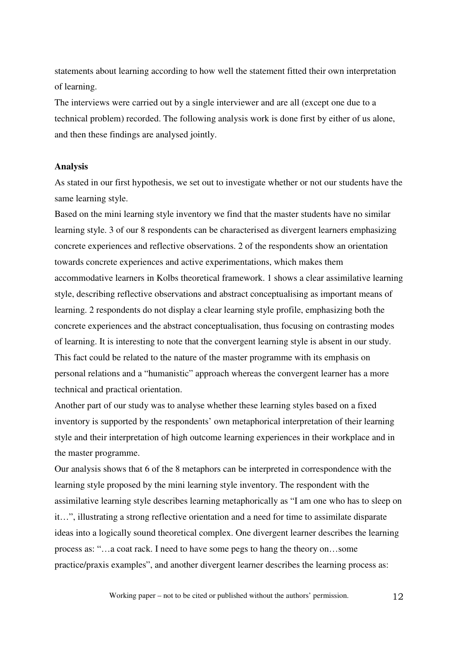statements about learning according to how well the statement fitted their own interpretation of learning.

The interviews were carried out by a single interviewer and are all (except one due to a technical problem) recorded. The following analysis work is done first by either of us alone, and then these findings are analysed jointly.

#### **Analysis**

As stated in our first hypothesis, we set out to investigate whether or not our students have the same learning style.

Based on the mini learning style inventory we find that the master students have no similar learning style. 3 of our 8 respondents can be characterised as divergent learners emphasizing concrete experiences and reflective observations. 2 of the respondents show an orientation towards concrete experiences and active experimentations, which makes them accommodative learners in Kolbs theoretical framework. 1 shows a clear assimilative learning style, describing reflective observations and abstract conceptualising as important means of learning. 2 respondents do not display a clear learning style profile, emphasizing both the concrete experiences and the abstract conceptualisation, thus focusing on contrasting modes of learning. It is interesting to note that the convergent learning style is absent in our study. This fact could be related to the nature of the master programme with its emphasis on personal relations and a "humanistic" approach whereas the convergent learner has a more technical and practical orientation.

Another part of our study was to analyse whether these learning styles based on a fixed inventory is supported by the respondents' own metaphorical interpretation of their learning style and their interpretation of high outcome learning experiences in their workplace and in the master programme.

Our analysis shows that 6 of the 8 metaphors can be interpreted in correspondence with the learning style proposed by the mini learning style inventory. The respondent with the assimilative learning style describes learning metaphorically as "I am one who has to sleep on it…", illustrating a strong reflective orientation and a need for time to assimilate disparate ideas into a logically sound theoretical complex. One divergent learner describes the learning process as: "…a coat rack. I need to have some pegs to hang the theory on…some practice/praxis examples", and another divergent learner describes the learning process as: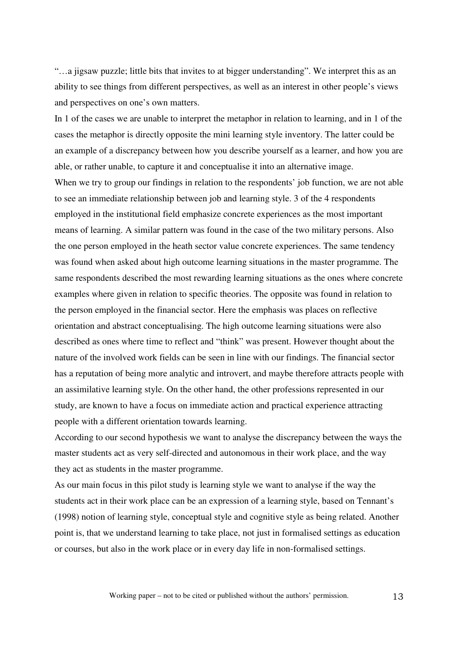"…a jigsaw puzzle; little bits that invites to at bigger understanding". We interpret this as an ability to see things from different perspectives, as well as an interest in other people's views and perspectives on one's own matters.

In 1 of the cases we are unable to interpret the metaphor in relation to learning, and in 1 of the cases the metaphor is directly opposite the mini learning style inventory. The latter could be an example of a discrepancy between how you describe yourself as a learner, and how you are able, or rather unable, to capture it and conceptualise it into an alternative image. When we try to group our findings in relation to the respondents' job function, we are not able to see an immediate relationship between job and learning style. 3 of the 4 respondents employed in the institutional field emphasize concrete experiences as the most important means of learning. A similar pattern was found in the case of the two military persons. Also the one person employed in the heath sector value concrete experiences. The same tendency was found when asked about high outcome learning situations in the master programme. The same respondents described the most rewarding learning situations as the ones where concrete examples where given in relation to specific theories. The opposite was found in relation to the person employed in the financial sector. Here the emphasis was places on reflective orientation and abstract conceptualising. The high outcome learning situations were also described as ones where time to reflect and "think" was present. However thought about the nature of the involved work fields can be seen in line with our findings. The financial sector has a reputation of being more analytic and introvert, and maybe therefore attracts people with an assimilative learning style. On the other hand, the other professions represented in our study, are known to have a focus on immediate action and practical experience attracting people with a different orientation towards learning.

According to our second hypothesis we want to analyse the discrepancy between the ways the master students act as very self-directed and autonomous in their work place, and the way they act as students in the master programme.

As our main focus in this pilot study is learning style we want to analyse if the way the students act in their work place can be an expression of a learning style, based on Tennant's (1998) notion of learning style, conceptual style and cognitive style as being related. Another point is, that we understand learning to take place, not just in formalised settings as education or courses, but also in the work place or in every day life in non-formalised settings.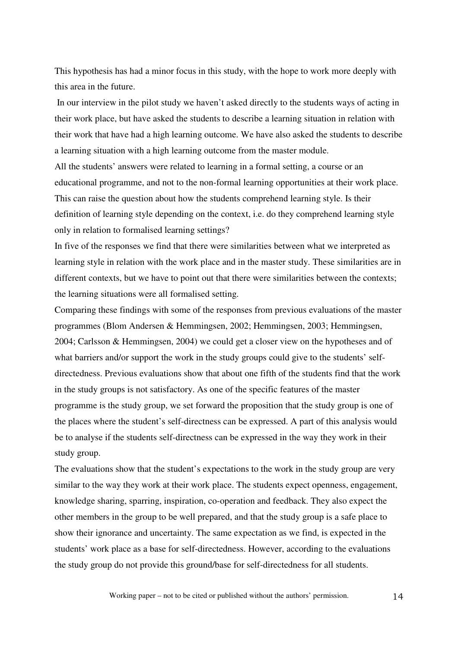This hypothesis has had a minor focus in this study, with the hope to work more deeply with this area in the future.

 In our interview in the pilot study we haven't asked directly to the students ways of acting in their work place, but have asked the students to describe a learning situation in relation with their work that have had a high learning outcome. We have also asked the students to describe a learning situation with a high learning outcome from the master module.

All the students' answers were related to learning in a formal setting, a course or an educational programme, and not to the non-formal learning opportunities at their work place. This can raise the question about how the students comprehend learning style. Is their definition of learning style depending on the context, i.e. do they comprehend learning style only in relation to formalised learning settings?

In five of the responses we find that there were similarities between what we interpreted as learning style in relation with the work place and in the master study. These similarities are in different contexts, but we have to point out that there were similarities between the contexts; the learning situations were all formalised setting.

Comparing these findings with some of the responses from previous evaluations of the master programmes (Blom Andersen & Hemmingsen, 2002; Hemmingsen, 2003; Hemmingsen, 2004; Carlsson & Hemmingsen, 2004) we could get a closer view on the hypotheses and of what barriers and/or support the work in the study groups could give to the students' selfdirectedness. Previous evaluations show that about one fifth of the students find that the work in the study groups is not satisfactory. As one of the specific features of the master programme is the study group, we set forward the proposition that the study group is one of the places where the student's self-directness can be expressed. A part of this analysis would be to analyse if the students self-directness can be expressed in the way they work in their study group.

The evaluations show that the student's expectations to the work in the study group are very similar to the way they work at their work place. The students expect openness, engagement, knowledge sharing, sparring, inspiration, co-operation and feedback. They also expect the other members in the group to be well prepared, and that the study group is a safe place to show their ignorance and uncertainty. The same expectation as we find, is expected in the students' work place as a base for self-directedness. However, according to the evaluations the study group do not provide this ground/base for self-directedness for all students.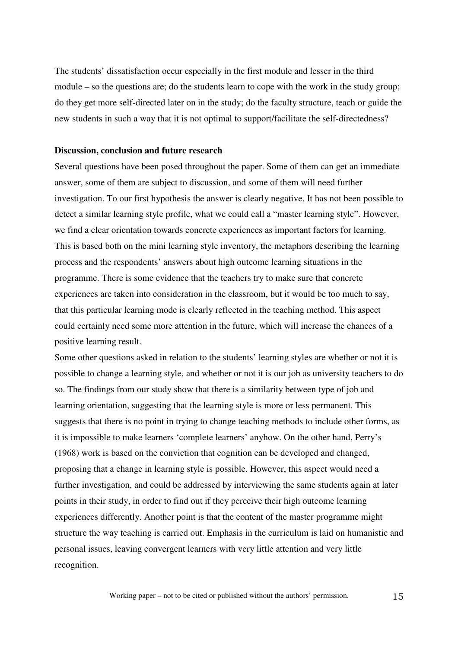The students' dissatisfaction occur especially in the first module and lesser in the third module – so the questions are; do the students learn to cope with the work in the study group; do they get more self-directed later on in the study; do the faculty structure, teach or guide the new students in such a way that it is not optimal to support/facilitate the self-directedness?

#### **Discussion, conclusion and future research**

Several questions have been posed throughout the paper. Some of them can get an immediate answer, some of them are subject to discussion, and some of them will need further investigation. To our first hypothesis the answer is clearly negative. It has not been possible to detect a similar learning style profile, what we could call a "master learning style". However, we find a clear orientation towards concrete experiences as important factors for learning. This is based both on the mini learning style inventory, the metaphors describing the learning process and the respondents' answers about high outcome learning situations in the programme. There is some evidence that the teachers try to make sure that concrete experiences are taken into consideration in the classroom, but it would be too much to say, that this particular learning mode is clearly reflected in the teaching method. This aspect could certainly need some more attention in the future, which will increase the chances of a positive learning result.

Some other questions asked in relation to the students' learning styles are whether or not it is possible to change a learning style, and whether or not it is our job as university teachers to do so. The findings from our study show that there is a similarity between type of job and learning orientation, suggesting that the learning style is more or less permanent. This suggests that there is no point in trying to change teaching methods to include other forms, as it is impossible to make learners 'complete learners' anyhow. On the other hand, Perry's (1968) work is based on the conviction that cognition can be developed and changed, proposing that a change in learning style is possible. However, this aspect would need a further investigation, and could be addressed by interviewing the same students again at later points in their study, in order to find out if they perceive their high outcome learning experiences differently. Another point is that the content of the master programme might structure the way teaching is carried out. Emphasis in the curriculum is laid on humanistic and personal issues, leaving convergent learners with very little attention and very little recognition.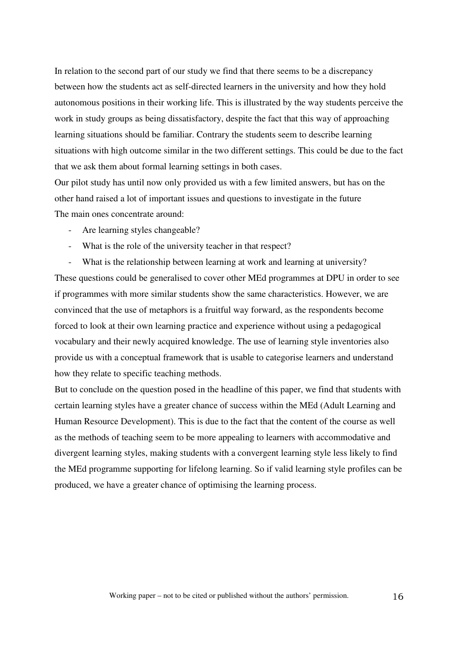In relation to the second part of our study we find that there seems to be a discrepancy between how the students act as self-directed learners in the university and how they hold autonomous positions in their working life. This is illustrated by the way students perceive the work in study groups as being dissatisfactory, despite the fact that this way of approaching learning situations should be familiar. Contrary the students seem to describe learning situations with high outcome similar in the two different settings. This could be due to the fact that we ask them about formal learning settings in both cases.

Our pilot study has until now only provided us with a few limited answers, but has on the other hand raised a lot of important issues and questions to investigate in the future The main ones concentrate around:

- Are learning styles changeable?
- What is the role of the university teacher in that respect?

- What is the relationship between learning at work and learning at university? These questions could be generalised to cover other MEd programmes at DPU in order to see if programmes with more similar students show the same characteristics. However, we are convinced that the use of metaphors is a fruitful way forward, as the respondents become forced to look at their own learning practice and experience without using a pedagogical vocabulary and their newly acquired knowledge. The use of learning style inventories also provide us with a conceptual framework that is usable to categorise learners and understand how they relate to specific teaching methods.

But to conclude on the question posed in the headline of this paper, we find that students with certain learning styles have a greater chance of success within the MEd (Adult Learning and Human Resource Development). This is due to the fact that the content of the course as well as the methods of teaching seem to be more appealing to learners with accommodative and divergent learning styles, making students with a convergent learning style less likely to find the MEd programme supporting for lifelong learning. So if valid learning style profiles can be produced, we have a greater chance of optimising the learning process.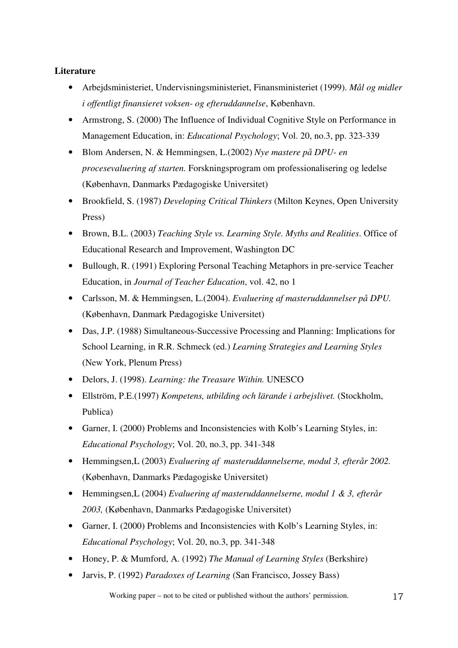# **Literature**

- Arbejdsministeriet, Undervisningsministeriet, Finansministeriet (1999). *Mål og midler i offentligt finansieret voksen- og efteruddannelse*, København.
- Armstrong, S. (2000) The Influence of Individual Cognitive Style on Performance in Management Education, in: *Educational Psychology*; Vol. 20, no.3, pp. 323-339
- Blom Andersen, N. & Hemmingsen, L.(2002) *Nye mastere på DPU- en procesevaluering af starten.* Forskningsprogram om professionalisering og ledelse (København, Danmarks Pædagogiske Universitet)
- Brookfield, S. (1987) *Developing Critical Thinkers* (Milton Keynes, Open University Press)
- Brown, B.L. (2003) *Teaching Style vs. Learning Style. Myths and Realities*. Office of Educational Research and Improvement, Washington DC
- Bullough, R. (1991) Exploring Personal Teaching Metaphors in pre-service Teacher Education, in *Journal of Teacher Education*, vol. 42, no 1
- Carlsson, M. & Hemmingsen, L.(2004). *Evaluering af masteruddannelser på DPU.*  (København, Danmark Pædagogiske Universitet)
- Das, J.P. (1988) Simultaneous-Successive Processing and Planning: Implications for School Learning, in R.R. Schmeck (ed.) *Learning Strategies and Learning Styles* (New York, Plenum Press)
- Delors, J. (1998). *Learning: the Treasure Within.* UNESCO
- Ellström, P.E.(1997) *Kompetens, utbilding och lärande i arbejslivet.* (Stockholm, Publica)
- Garner, I. (2000) Problems and Inconsistencies with Kolb's Learning Styles, in: *Educational Psychology*; Vol. 20, no.3, pp. 341-348
- Hemmingsen,L (2003) *Evaluering af masteruddannelserne, modul 3, efterår 2002.*  (København, Danmarks Pædagogiske Universitet)
- Hemmingsen,L (2004) *Evaluering af masteruddannelserne, modul 1 & 3, efterår 2003,* (København, Danmarks Pædagogiske Universitet)
- Garner, I. (2000) Problems and Inconsistencies with Kolb's Learning Styles, in: *Educational Psychology*; Vol. 20, no.3, pp. 341-348
- Honey, P. & Mumford, A. (1992) *The Manual of Learning Styles* (Berkshire)
- Jarvis, P. (1992) *Paradoxes of Learning* (San Francisco, Jossey Bass)

Working paper – not to be cited or published without the authors' permission. 17